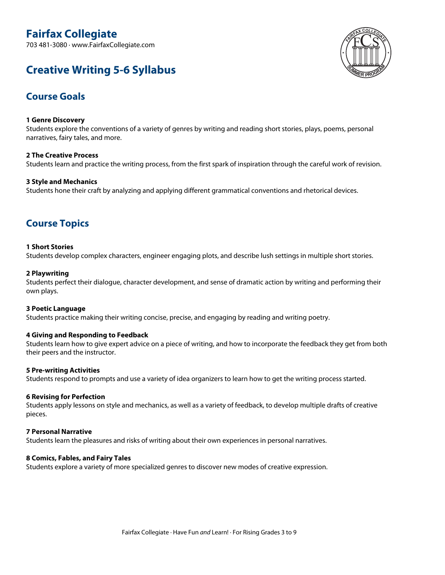# **Fairfax Collegiate**

703 481-3080 · www.FairfaxCollegiate.com

## **Creative Writing 5-6 Syllabus**



## **Course Goals**

### **1 Genre Discovery**

Students explore the conventions of <sup>a</sup> variety of genres by writing and reading short stories, plays, poems, personal narratives, fairy tales, and more.

**2 The Creative Process** Students learn and practice the writing process, from the first spark of inspiration through the careful work of revision.

#### **3 Style and Mechanics**

Students hone their craft by analyzing and applying different grammatical conventions and rhetorical devices.

## **Course Topics**

#### **1 Short Stories**

Students develop complex characters, engineer engaging plots, and describe lush settings in multiple short stories.

#### **2 Playwriting**

Students perfect their dialogue, character development, and sense of dramatic action by writing and performing their own plays.

#### **3 Poetic Language**

Students practice making their writing concise, precise, and engaging by reading and writing poetry.

#### **4 Giving and Responding to Feedback**

Students learn how to give expert advice on <sup>a</sup> piece of writing, and how to incorporate the feedback they get from both their peers and the instructor.

#### **5 Pre-writing Activities**

Students respond to prompts and use <sup>a</sup> variety of idea organizers to learn how to get the writing process started.

#### **6 Revising for Perfection**

Students apply lessons on style and mechanics, as well as <sup>a</sup> variety of feedback, to develop multiple drafts of creative pieces.

#### **7 Personal Narrative**

Students learn the pleasures and risks of writing about their own experiences in personal narratives.

#### **8 Comics, Fables, and Fairy Tales**

Students explore <sup>a</sup> variety of more specialized genres to discover new modes of creative expression.